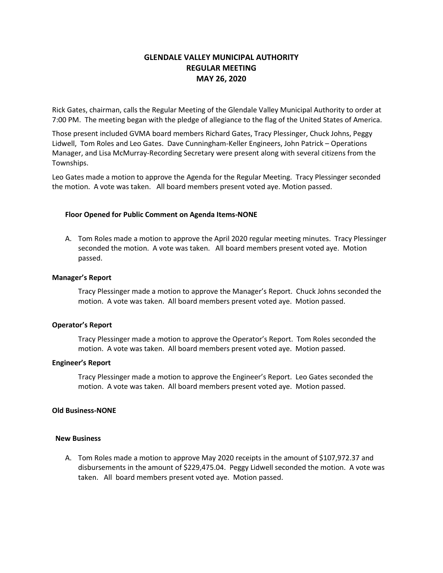# **GLENDALE VALLEY MUNICIPAL AUTHORITY REGULAR MEETING MAY 26, 2020**

Rick Gates, chairman, calls the Regular Meeting of the Glendale Valley Municipal Authority to order at 7:00 PM. The meeting began with the pledge of allegiance to the flag of the United States of America.

Those present included GVMA board members Richard Gates, Tracy Plessinger, Chuck Johns, Peggy Lidwell, Tom Roles and Leo Gates. Dave Cunningham-Keller Engineers, John Patrick – Operations Manager, and Lisa McMurray-Recording Secretary were present along with several citizens from the Townships.

Leo Gates made a motion to approve the Agenda for the Regular Meeting. Tracy Plessinger seconded the motion. A vote was taken. All board members present voted aye. Motion passed.

# **Floor Opened for Public Comment on Agenda Items-NONE**

A. Tom Roles made a motion to approve the April 2020 regular meeting minutes. Tracy Plessinger seconded the motion. A vote was taken. All board members present voted aye. Motion passed.

### **Manager's Report**

Tracy Plessinger made a motion to approve the Manager's Report. Chuck Johns seconded the motion. A vote was taken. All board members present voted aye. Motion passed.

### **Operator's Report**

Tracy Plessinger made a motion to approve the Operator's Report. Tom Roles seconded the motion. A vote was taken. All board members present voted aye. Motion passed.

### **Engineer's Report**

Tracy Plessinger made a motion to approve the Engineer's Report. Leo Gates seconded the motion. A vote was taken. All board members present voted aye. Motion passed.

### **Old Business-NONE**

### **New Business**

A. Tom Roles made a motion to approve May 2020 receipts in the amount of \$107,972.37 and disbursements in the amount of \$229,475.04. Peggy Lidwell seconded the motion. A vote was taken. All board members present voted aye. Motion passed.